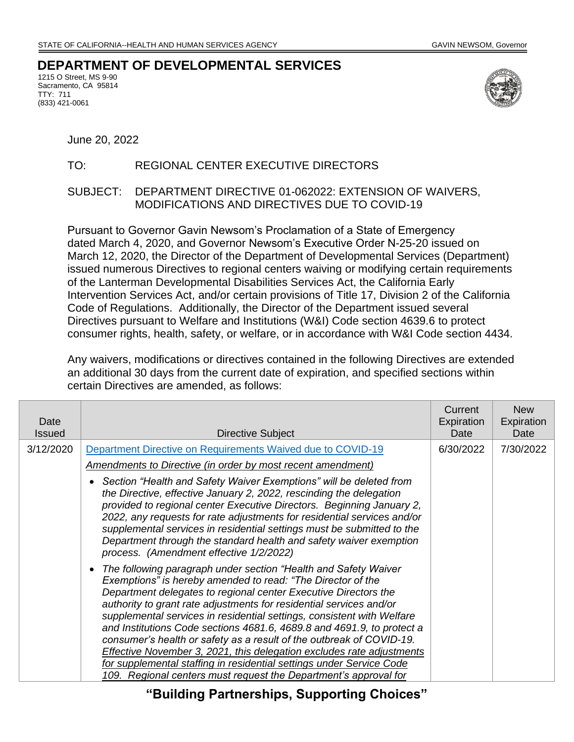## **DEPARTMENT OF DEVELOPMENTAL SERVICES**

1215 O Street, MS 9-90 Sacramento, CA 95814 TTY: 711 (833) 421-0061



June 20, 2022

## TO: REGIONAL CENTER EXECUTIVE DIRECTORS

## SUBJECT: DEPARTMENT DIRECTIVE 01-062022: EXTENSION OF WAIVERS, MODIFICATIONS AND DIRECTIVES DUE TO COVID-19

Pursuant to Governor Gavin Newsom's Proclamation of a State of Emergency dated March 4, 2020, and Governor Newsom's Executive Order N-25-20 issued on March 12, 2020, the Director of the Department of Developmental Services (Department) issued numerous Directives to regional centers waiving or modifying certain requirements of the Lanterman Developmental Disabilities Services Act, the California Early Intervention Services Act, and/or certain provisions of Title 17, Division 2 of the California Code of Regulations. Additionally, the Director of the Department issued several Directives pursuant to Welfare and Institutions (W&I) Code section 4639.6 to protect consumer rights, health, safety, or welfare, or in accordance with W&I Code section 4434.

Any waivers, modifications or directives contained in the following Directives are extended an additional 30 days from the current date of expiration, and specified sections within certain Directives are amended, as follows:

| Date<br><b>Issued</b> | Directive Subject                                                                                                                                                                                                                                                                                                                                                                                                                                                                                                                                                                                                                                                                                                          | Current<br>Expiration<br>Date | <b>New</b><br>Expiration<br>Date |
|-----------------------|----------------------------------------------------------------------------------------------------------------------------------------------------------------------------------------------------------------------------------------------------------------------------------------------------------------------------------------------------------------------------------------------------------------------------------------------------------------------------------------------------------------------------------------------------------------------------------------------------------------------------------------------------------------------------------------------------------------------------|-------------------------------|----------------------------------|
| 3/12/2020             | Department Directive on Requirements Waived due to COVID-19                                                                                                                                                                                                                                                                                                                                                                                                                                                                                                                                                                                                                                                                | 6/30/2022                     | 7/30/2022                        |
|                       | <b>Amendments to Directive (in order by most recent amendment)</b>                                                                                                                                                                                                                                                                                                                                                                                                                                                                                                                                                                                                                                                         |                               |                                  |
|                       | Section "Health and Safety Waiver Exemptions" will be deleted from<br>the Directive, effective January 2, 2022, rescinding the delegation<br>provided to regional center Executive Directors. Beginning January 2,<br>2022, any requests for rate adjustments for residential services and/or<br>supplemental services in residential settings must be submitted to the<br>Department through the standard health and safety waiver exemption<br>process. (Amendment effective 1/2/2022)                                                                                                                                                                                                                                   |                               |                                  |
|                       | The following paragraph under section "Health and Safety Waiver"<br>Exemptions" is hereby amended to read: "The Director of the<br>Department delegates to regional center Executive Directors the<br>authority to grant rate adjustments for residential services and/or<br>supplemental services in residential settings, consistent with Welfare<br>and Institutions Code sections 4681.6, 4689.8 and 4691.9, to protect a<br>consumer's health or safety as a result of the outbreak of COVID-19.<br>Effective November 3, 2021, this delegation excludes rate adjustments<br>for supplemental staffing in residential settings under Service Code<br>109. Regional centers must request the Department's approval for |                               |                                  |

**"Building Partnerships, Supporting Choices"**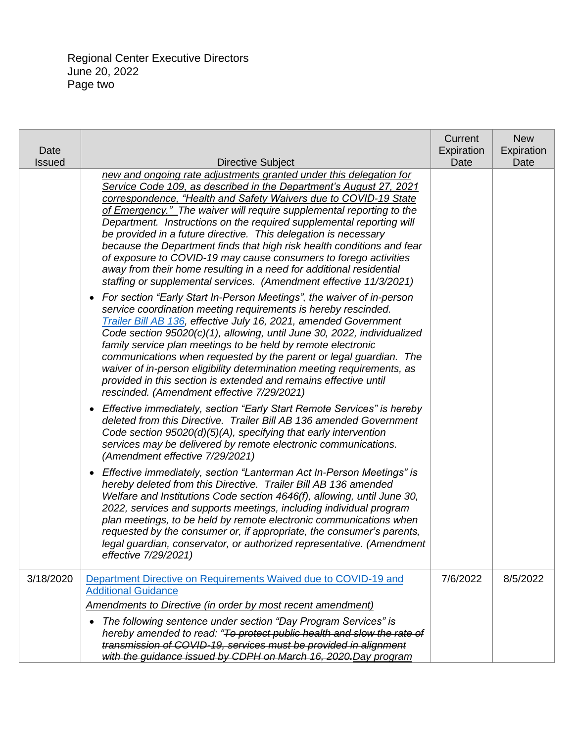Regional Center Executive Directors June 20, 2022 Page two

| Date<br><b>Issued</b> | Directive Subject                                                                                                                                                                                                                                                                                                                                                                                                                                                                                                                                                                                                                                                                                                          | Current<br>Expiration<br>Date | <b>New</b><br>Expiration<br>Date |
|-----------------------|----------------------------------------------------------------------------------------------------------------------------------------------------------------------------------------------------------------------------------------------------------------------------------------------------------------------------------------------------------------------------------------------------------------------------------------------------------------------------------------------------------------------------------------------------------------------------------------------------------------------------------------------------------------------------------------------------------------------------|-------------------------------|----------------------------------|
|                       | new and ongoing rate adjustments granted under this delegation for<br>Service Code 109, as described in the Department's August 27, 2021<br>correspondence, "Health and Safety Waivers due to COVID-19 State<br>of Emergency." The waiver will require supplemental reporting to the<br>Department. Instructions on the required supplemental reporting will<br>be provided in a future directive. This delegation is necessary<br>because the Department finds that high risk health conditions and fear<br>of exposure to COVID-19 may cause consumers to forego activities<br>away from their home resulting in a need for additional residential<br>staffing or supplemental services. (Amendment effective 11/3/2021) |                               |                                  |
|                       | For section "Early Start In-Person Meetings", the waiver of in-person<br>$\bullet$<br>service coordination meeting requirements is hereby rescinded.<br>Trailer Bill AB 136, effective July 16, 2021, amended Government<br>Code section 95020(c)(1), allowing, until June 30, 2022, individualized<br>family service plan meetings to be held by remote electronic<br>communications when requested by the parent or legal guardian. The<br>waiver of in-person eligibility determination meeting requirements, as<br>provided in this section is extended and remains effective until<br>rescinded. (Amendment effective 7/29/2021)                                                                                      |                               |                                  |
|                       | Effective immediately, section "Early Start Remote Services" is hereby<br>$\bullet$<br>deleted from this Directive. Trailer Bill AB 136 amended Government<br>Code section 95020(d)(5)(A), specifying that early intervention<br>services may be delivered by remote electronic communications.<br>(Amendment effective 7/29/2021)                                                                                                                                                                                                                                                                                                                                                                                         |                               |                                  |
|                       | Effective immediately, section "Lanterman Act In-Person Meetings" is<br>$\bullet$<br>hereby deleted from this Directive. Trailer Bill AB 136 amended<br>Welfare and Institutions Code section 4646(f), allowing, until June 30,<br>2022, services and supports meetings, including individual program<br>plan meetings, to be held by remote electronic communications when<br>requested by the consumer or, if appropriate, the consumer's parents,<br>legal guardian, conservator, or authorized representative. (Amendment<br>effective 7/29/2021)                                                                                                                                                                      |                               |                                  |
| 3/18/2020             | Department Directive on Requirements Waived due to COVID-19 and<br><b>Additional Guidance</b>                                                                                                                                                                                                                                                                                                                                                                                                                                                                                                                                                                                                                              | 7/6/2022                      | 8/5/2022                         |
|                       | Amendments to Directive (in order by most recent amendment)                                                                                                                                                                                                                                                                                                                                                                                                                                                                                                                                                                                                                                                                |                               |                                  |
|                       | The following sentence under section "Day Program Services" is<br>٠<br>hereby amended to read: "To protect public health and slow the rate of<br>transmission of COVID-19, services must be provided in alignment<br>with the guidance issued by CDPH on March 16, 2020. Day program                                                                                                                                                                                                                                                                                                                                                                                                                                       |                               |                                  |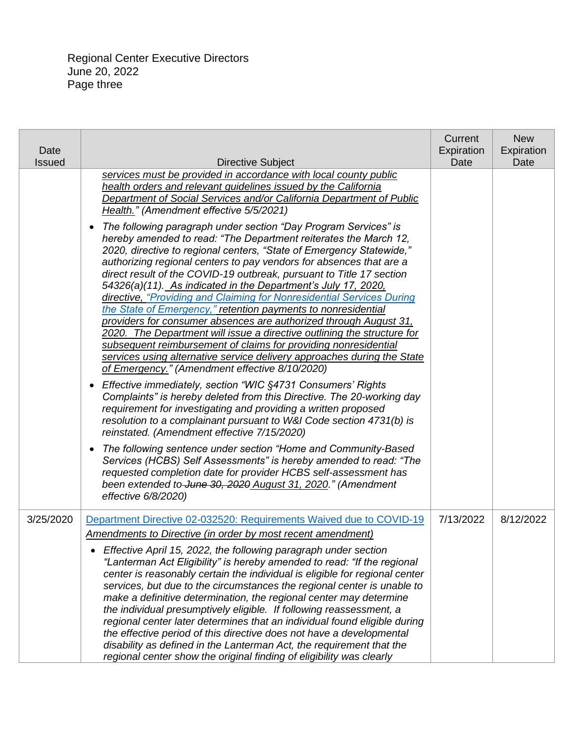| Date<br><b>Issued</b> | Directive Subject                                                                                                                                                                                                                                                                                                                                                                                                                                                                                                                                                                                                                                                                                                                                                                                                                                                                                                                  | Current<br>Expiration<br>Date | <b>New</b><br>Expiration<br>Date |
|-----------------------|------------------------------------------------------------------------------------------------------------------------------------------------------------------------------------------------------------------------------------------------------------------------------------------------------------------------------------------------------------------------------------------------------------------------------------------------------------------------------------------------------------------------------------------------------------------------------------------------------------------------------------------------------------------------------------------------------------------------------------------------------------------------------------------------------------------------------------------------------------------------------------------------------------------------------------|-------------------------------|----------------------------------|
|                       | services must be provided in accordance with local county public<br>health orders and relevant guidelines issued by the California<br>Department of Social Services and/or California Department of Public<br>Health." (Amendment effective 5/5/2021)                                                                                                                                                                                                                                                                                                                                                                                                                                                                                                                                                                                                                                                                              |                               |                                  |
|                       | The following paragraph under section "Day Program Services" is<br>$\bullet$<br>hereby amended to read: "The Department reiterates the March 12,<br>2020, directive to regional centers, "State of Emergency Statewide,"<br>authorizing regional centers to pay vendors for absences that are a<br>direct result of the COVID-19 outbreak, pursuant to Title 17 section<br>54326(a)(11). As indicated in the Department's July 17, 2020,<br>directive, "Providing and Claiming for Nonresidential Services During<br>the State of Emergency," retention payments to nonresidential<br>providers for consumer absences are authorized through August 31.<br>2020. The Department will issue a directive outlining the structure for<br>subsequent reimbursement of claims for providing nonresidential<br>services using alternative service delivery approaches during the State<br>of Emergency." (Amendment effective 8/10/2020) |                               |                                  |
|                       | Effective immediately, section "WIC §4731 Consumers' Rights<br>$\bullet$<br>Complaints" is hereby deleted from this Directive. The 20-working day<br>requirement for investigating and providing a written proposed<br>resolution to a complainant pursuant to W&I Code section 4731(b) is<br>reinstated. (Amendment effective 7/15/2020)                                                                                                                                                                                                                                                                                                                                                                                                                                                                                                                                                                                          |                               |                                  |
|                       | The following sentence under section "Home and Community-Based<br>$\bullet$<br>Services (HCBS) Self Assessments" is hereby amended to read: "The<br>requested completion date for provider HCBS self-assessment has<br>been extended to June 30, 2020 August 31, 2020." (Amendment<br>effective 6/8/2020)                                                                                                                                                                                                                                                                                                                                                                                                                                                                                                                                                                                                                          |                               |                                  |
| 3/25/2020             | Department Directive 02-032520: Requirements Waived due to COVID-19<br><b>Amendments to Directive (in order by most recent amendment)</b>                                                                                                                                                                                                                                                                                                                                                                                                                                                                                                                                                                                                                                                                                                                                                                                          | 7/13/2022                     | 8/12/2022                        |
|                       | Effective April 15, 2022, the following paragraph under section<br>"Lanterman Act Eligibility" is hereby amended to read: "If the regional<br>center is reasonably certain the individual is eligible for regional center<br>services, but due to the circumstances the regional center is unable to<br>make a definitive determination, the regional center may determine<br>the individual presumptively eligible. If following reassessment, a<br>regional center later determines that an individual found eligible during<br>the effective period of this directive does not have a developmental<br>disability as defined in the Lanterman Act, the requirement that the<br>regional center show the original finding of eligibility was clearly                                                                                                                                                                             |                               |                                  |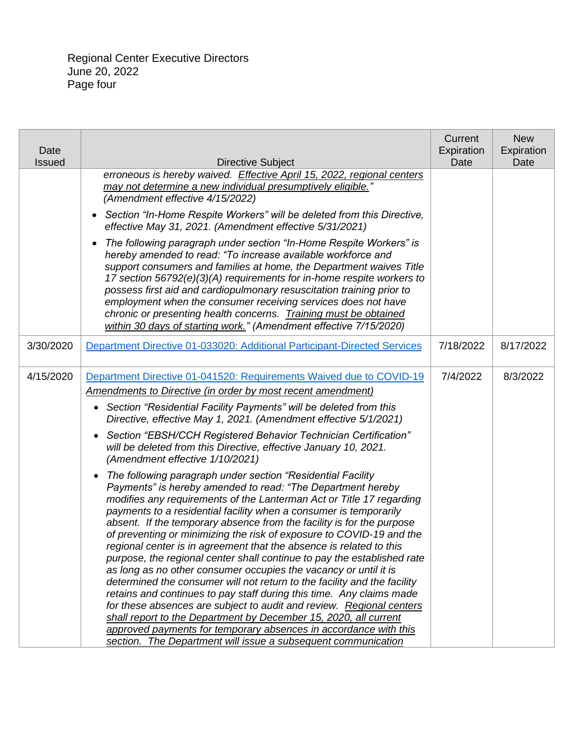| Date<br><b>Issued</b> | <b>Directive Subject</b>                                                                                                                                                                                                                                                                                                                                                                                                                                                                                                                                                                                                                                                                                                                                                                                                                                                                                                                                                                                                                                                                          | Current<br>Expiration<br>Date | <b>New</b><br>Expiration<br>Date |
|-----------------------|---------------------------------------------------------------------------------------------------------------------------------------------------------------------------------------------------------------------------------------------------------------------------------------------------------------------------------------------------------------------------------------------------------------------------------------------------------------------------------------------------------------------------------------------------------------------------------------------------------------------------------------------------------------------------------------------------------------------------------------------------------------------------------------------------------------------------------------------------------------------------------------------------------------------------------------------------------------------------------------------------------------------------------------------------------------------------------------------------|-------------------------------|----------------------------------|
|                       | erroneous is hereby waived. Effective April 15, 2022, regional centers<br>may not determine a new individual presumptively eligible."<br>(Amendment effective 4/15/2022)<br>Section "In-Home Respite Workers" will be deleted from this Directive,<br>$\bullet$                                                                                                                                                                                                                                                                                                                                                                                                                                                                                                                                                                                                                                                                                                                                                                                                                                   |                               |                                  |
|                       | effective May 31, 2021. (Amendment effective 5/31/2021)<br>The following paragraph under section "In-Home Respite Workers" is<br>hereby amended to read: "To increase available workforce and<br>support consumers and families at home, the Department waives Title<br>17 section 56792(e)(3)(A) requirements for in-home respite workers to<br>possess first aid and cardiopulmonary resuscitation training prior to                                                                                                                                                                                                                                                                                                                                                                                                                                                                                                                                                                                                                                                                            |                               |                                  |
|                       | employment when the consumer receiving services does not have<br>chronic or presenting health concerns. Training must be obtained<br>within 30 days of starting work." (Amendment effective 7/15/2020)                                                                                                                                                                                                                                                                                                                                                                                                                                                                                                                                                                                                                                                                                                                                                                                                                                                                                            |                               |                                  |
| 3/30/2020             | Department Directive 01-033020: Additional Participant-Directed Services                                                                                                                                                                                                                                                                                                                                                                                                                                                                                                                                                                                                                                                                                                                                                                                                                                                                                                                                                                                                                          | 7/18/2022                     | 8/17/2022                        |
| 4/15/2020             | Department Directive 01-041520: Requirements Waived due to COVID-19<br>Amendments to Directive (in order by most recent amendment)<br>Section "Residential Facility Payments" will be deleted from this<br>$\bullet$<br>Directive, effective May 1, 2021. (Amendment effective 5/1/2021)<br>Section "EBSH/CCH Registered Behavior Technician Certification"<br>$\bullet$<br>will be deleted from this Directive, effective January 10, 2021.<br>(Amendment effective 1/10/2021)                                                                                                                                                                                                                                                                                                                                                                                                                                                                                                                                                                                                                   | 7/4/2022                      | 8/3/2022                         |
|                       | The following paragraph under section "Residential Facility"<br>$\bullet$<br>Payments" is hereby amended to read: "The Department hereby<br>modifies any requirements of the Lanterman Act or Title 17 regarding<br>payments to a residential facility when a consumer is temporarily<br>absent. If the temporary absence from the facility is for the purpose<br>of preventing or minimizing the risk of exposure to COVID-19 and the<br>regional center is in agreement that the absence is related to this<br>purpose, the regional center shall continue to pay the established rate<br>as long as no other consumer occupies the vacancy or until it is<br>determined the consumer will not return to the facility and the facility<br>retains and continues to pay staff during this time. Any claims made<br>for these absences are subject to audit and review. Regional centers<br>shall report to the Department by December 15, 2020, all current<br>approved payments for temporary absences in accordance with this<br>section. The Department will issue a subsequent communication |                               |                                  |